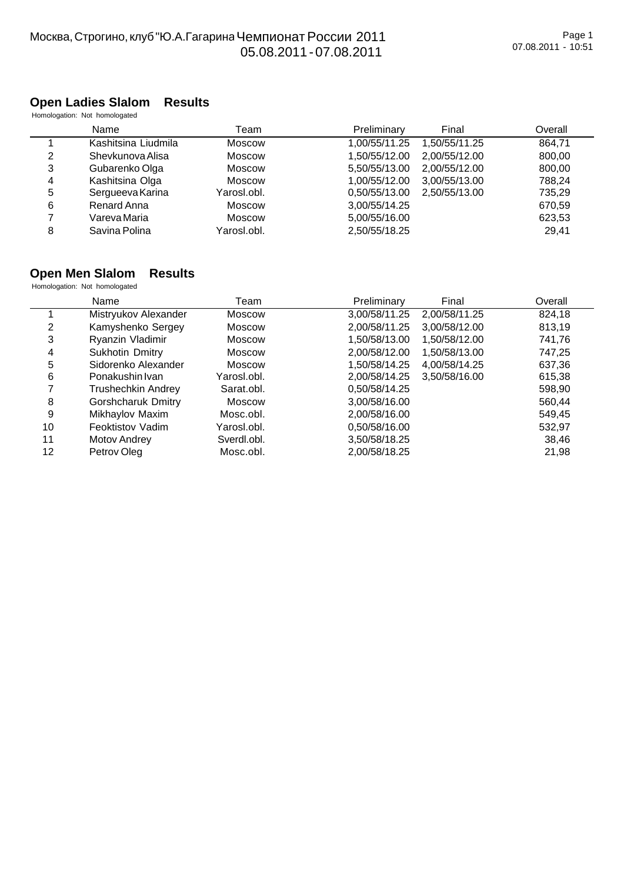#### **Open Ladies Slalom Results**

Homologation: Not homologated

|   | Name                | Геаm          | Preliminary   | Final         | Overall |
|---|---------------------|---------------|---------------|---------------|---------|
|   | Kashitsina Liudmila | Moscow        | 1,00/55/11.25 | 1,50/55/11.25 | 864.71  |
| 2 | Shevkunova Alisa    | Moscow        | 1.50/55/12.00 | 2.00/55/12.00 | 800,00  |
| 3 | Gubarenko Olga      | Moscow        | 5.50/55/13.00 | 2.00/55/12.00 | 800,00  |
| 4 | Kashitsina Olga     | Moscow        | 1,00/55/12.00 | 3,00/55/13.00 | 788.24  |
| 5 | Sergueeva Karina    | Yarosl.obl.   | 0,50/55/13.00 | 2.50/55/13.00 | 735,29  |
| 6 | Renard Anna         | <b>Moscow</b> | 3,00/55/14.25 |               | 670,59  |
|   | Vareva Maria        | Moscow        | 5,00/55/16.00 |               | 623,53  |
| 8 | Savina Polina       | Yarosl.obl.   | 2,50/55/18.25 |               | 29.41   |

## **Open Men Slalom Results**

**Homologation: Not homologated** 

|    | Name                      | Team          | Preliminary   | Final         | Overall |
|----|---------------------------|---------------|---------------|---------------|---------|
|    | Mistryukov Alexander      | Moscow        | 3,00/58/11.25 | 2,00/58/11.25 | 824,18  |
| 2  | Kamyshenko Sergey         | Moscow        | 2,00/58/11.25 | 3,00/58/12.00 | 813,19  |
| 3  | Ryanzin Vladimir          | <b>Moscow</b> | 1,50/58/13.00 | 1,50/58/12.00 | 741,76  |
| 4  | Sukhotin Dmitry           | <b>Moscow</b> | 2.00/58/12.00 | 1.50/58/13.00 | 747,25  |
| 5  | Sidorenko Alexander       | <b>Moscow</b> | 1.50/58/14.25 | 4.00/58/14.25 | 637,36  |
| 6  | Ponakushin Ivan           | Yarosl.obl.   | 2,00/58/14.25 | 3,50/58/16.00 | 615,38  |
|    | Trushechkin Andrey        | Sarat.obl.    | 0,50/58/14.25 |               | 598,90  |
| 8  | <b>Gorshcharuk Dmitry</b> | Moscow        | 3,00/58/16.00 |               | 560,44  |
| 9  | Mikhaylov Maxim           | Mosc.obl.     | 2,00/58/16.00 |               | 549,45  |
| 10 | Feoktistov Vadim          | Yarosl.obl.   | 0,50/58/16.00 |               | 532,97  |
| 11 | Motov Andrey              | Sverdl.obl.   | 3,50/58/18.25 |               | 38,46   |
| 12 | Petrov Oleg               | Mosc.obl.     | 2,00/58/18.25 |               | 21,98   |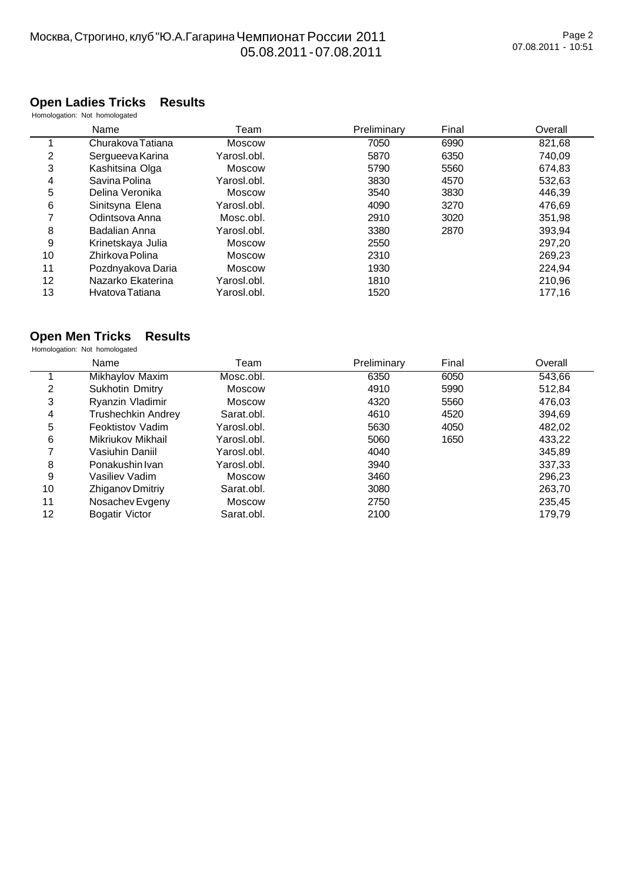# $\mathcal{M}$ ,  $\mathcal{M}$ ,  $\mathcal{M}$ ,  $\mathcal{M}$ ,  $\mathcal{M}$ 05.08.2011 - 07.08.2011

## **Open Ladies Tricks Results**

Homologation: Not homologated

|    | Name              | Team        | Preliminary | Final | Overall |
|----|-------------------|-------------|-------------|-------|---------|
|    | Churakova Tatiana | Moscow      | 7050        | 6990  | 821,68  |
| 2  | Sergueeva Karina  | Yarosl.obl. | 5870        | 6350  | 740,09  |
| 3  | Kashitsina Olga   | Moscow      | 5790        | 5560  | 674.83  |
| 4  | Savina Polina     | Yarosl.obl. | 3830        | 4570  | 532,63  |
| 5  | Delina Veronika   | Moscow      | 3540        | 3830  | 446,39  |
| 6  | Sinitsyna Elena   | Yarosl.obl. | 4090        | 3270  | 476,69  |
| 7  | Odintsova Anna    | Mosc.obl.   | 2910        | 3020  | 351,98  |
| 8  | Badalian Anna     | Yarosl.obl. | 3380        | 2870  | 393,94  |
| 9  | Krinetskaya Julia | Moscow      | 2550        |       | 297,20  |
| 10 | Zhirkova Polina   | Moscow      | 2310        |       | 269,23  |
| 11 | Pozdnyakova Daria | Moscow      | 1930        |       | 224,94  |
| 12 | Nazarko Ekaterina | Yarosl.obl. | 1810        |       | 210,96  |
| 13 | Hvatova Tatiana   | Yarosl.obl. | 1520        |       | 177,16  |

#### **Open Men Tricks Results**

Homologation: Not homologated

|                   | Name                      | Team          | Preliminary | Final | Overall |
|-------------------|---------------------------|---------------|-------------|-------|---------|
|                   | Mikhaylov Maxim           | Mosc.obl.     | 6350        | 6050  | 543,66  |
| 2                 | Sukhotin Dmitry           | Moscow        | 4910        | 5990  | 512,84  |
| 3                 | Ryanzin Vladimir          | <b>Moscow</b> | 4320        | 5560  | 476,03  |
| 4                 | <b>Trushechkin Andrey</b> | Sarat.obl.    | 4610        | 4520  | 394,69  |
| 5                 | Feoktistov Vadim          | Yarosl.obl.   | 5630        | 4050  | 482,02  |
| 6                 | Mikriukov Mikhail         | Yarosl.obl.   | 5060        | 1650  | 433,22  |
| 7                 | Vasiuhin Daniil           | Yarosl.obl.   | 4040        |       | 345,89  |
| 8                 | Ponakushin Ivan           | Yarosl.obl.   | 3940        |       | 337,33  |
| 9                 | Vasiliev Vadim            | Moscow        | 3460        |       | 296,23  |
| 10                | Zhiganov Dmitriy          | Sarat.obl.    | 3080        |       | 263,70  |
| 11                | Nosachev Evgeny           | Moscow        | 2750        |       | 235,45  |
| $12 \overline{ }$ | Bogatir Victor            | Sarat.obl.    | 2100        |       | 179,79  |